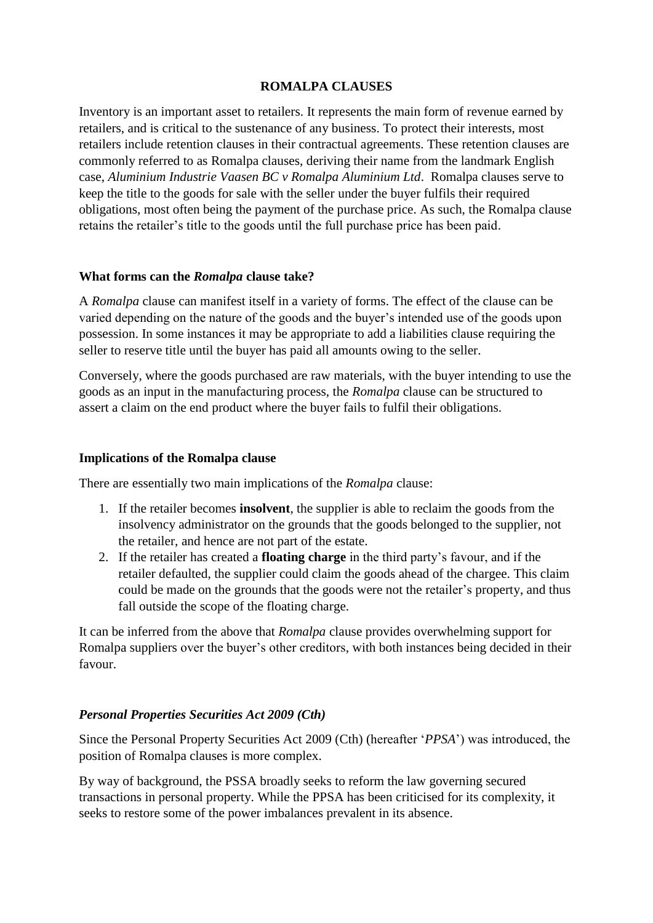## **ROMALPA CLAUSES**

Inventory is an important asset to retailers. It represents the main form of revenue earned by retailers, and is critical to the sustenance of any business. To protect their interests, most retailers include retention clauses in their contractual agreements. These retention clauses are commonly referred to as Romalpa clauses, deriving their name from the landmark English case, *Aluminium Industrie Vaasen BC v Romalpa Aluminium Ltd*. Romalpa clauses serve to keep the title to the goods for sale with the seller under the buyer fulfils their required obligations, most often being the payment of the purchase price. As such, the Romalpa clause retains the retailer's title to the goods until the full purchase price has been paid.

#### **What forms can the** *Romalpa* **clause take?**

A *Romalpa* clause can manifest itself in a variety of forms. The effect of the clause can be varied depending on the nature of the goods and the buyer's intended use of the goods upon possession. In some instances it may be appropriate to add a liabilities clause requiring the seller to reserve title until the buyer has paid all amounts owing to the seller.

Conversely, where the goods purchased are raw materials, with the buyer intending to use the goods as an input in the manufacturing process, the *Romalpa* clause can be structured to assert a claim on the end product where the buyer fails to fulfil their obligations.

#### **Implications of the Romalpa clause**

There are essentially two main implications of the *Romalpa* clause:

- 1. If the retailer becomes **insolvent**, the supplier is able to reclaim the goods from the insolvency administrator on the grounds that the goods belonged to the supplier, not the retailer, and hence are not part of the estate.
- 2. If the retailer has created a **floating charge** in the third party's favour, and if the retailer defaulted, the supplier could claim the goods ahead of the chargee. This claim could be made on the grounds that the goods were not the retailer's property, and thus fall outside the scope of the floating charge.

It can be inferred from the above that *Romalpa* clause provides overwhelming support for Romalpa suppliers over the buyer's other creditors, with both instances being decided in their favour.

### *Personal Properties Securities Act 2009 (Cth)*

Since the Personal Property Securities Act 2009 (Cth) (hereafter '*PPSA*') was introduced, the position of Romalpa clauses is more complex.

By way of background, the PSSA broadly seeks to reform the law governing secured transactions in personal property. While the PPSA has been criticised for its complexity, it seeks to restore some of the power imbalances prevalent in its absence.